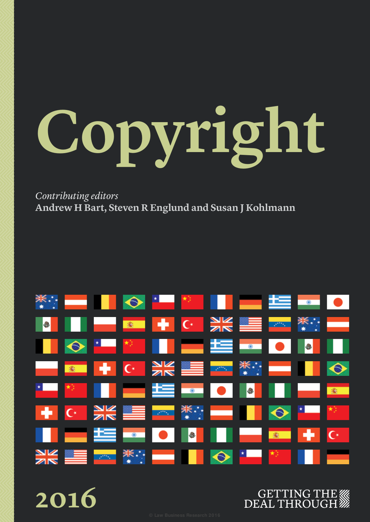# **Copyright**

*Contributing editors* **Andrew H Bart, Steven R Englund and Susan J Kohlmann**





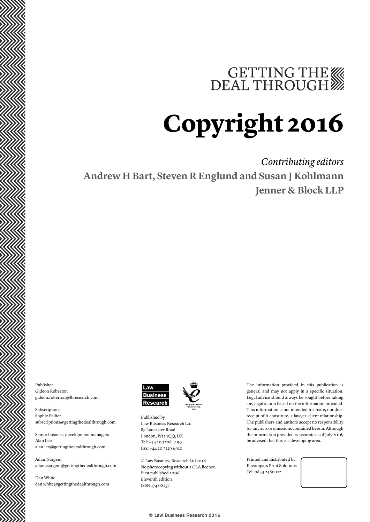# GETTING THE WE DEAL THROUGH

# **Copyright 2016**

*Contributing editors* **Andrew H Bart, Steven R Englund and Susan J Kohlmann Jenner & Block LLP**

Publisher Gideon Roberton gideon.roberton@lbresearch.com

Subscriptions Sophie Pallier subscriptions@gettingthedealthrough.com

Senior business development managers Alan Lee alan.lee@gettingthedealthrough.com

Adam Sargent adam.sargent@gettingthedealthrough.com

Dan White dan.white@gettingthedealthrough.com





London, W11 1QQ, UK Tel: +44 20 3708 4199 Fax: +44 20 7229 6910

© Law Business Research Ltd 2016 No photocopying without a CLA licence. First published 2006 Eleventh edition ISSN 1748-8257

The information provided in this publication is general and may not apply in a specific situation. Legal advice should always be sought before taking any legal action based on the information provided. This information is not intended to create, nor does receipt of it constitute, a lawyer–client relationship. The publishers and authors accept no responsibility for any acts or omissions contained herein. Although the information provided is accurate as of July 2016, be advised that this is a developing area.

Printed and distributed by Encompass Print Solutions Tel: 0844 2480 112

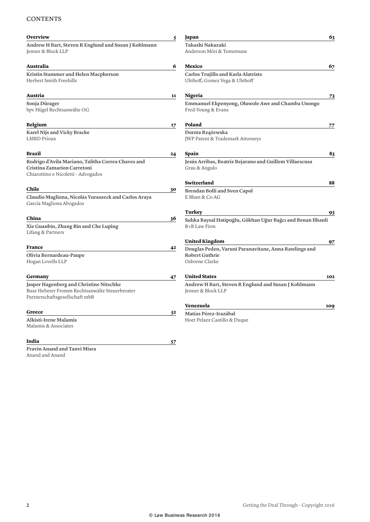# **CONTENTS**

| Overview                                                                                                                    | 5  | Japan                                                                                            | 63         |
|-----------------------------------------------------------------------------------------------------------------------------|----|--------------------------------------------------------------------------------------------------|------------|
| Andrew H Bart, Steven R Englund and Susan J Kohlmann<br>Jenner & Block LLP                                                  |    | Takashi Nakazaki<br>Anderson Möri & Tomotsune                                                    |            |
| Australia                                                                                                                   | 6  | Mexico                                                                                           | 67         |
| Kristin Stammer and Helen Macpherson<br>Herbert Smith Freehills                                                             |    | Carlos Trujillo and Karla Alatriste<br>Uhthoff, Gomez Vega & Uhthoff                             |            |
| Austria                                                                                                                     | 11 | <b>Nigeria</b>                                                                                   | 73         |
| Sonja Dürager<br>bpv Hügel Rechtsanwälte OG                                                                                 |    | Emmanuel Ekpenyong, Oluwole Awe and Chamba Unongo<br>Fred-Young & Evans                          |            |
| Belgium                                                                                                                     | 17 | Poland                                                                                           | 77         |
| Karel Nijs and Vicky Bracke<br><b>LMBD Prioux</b>                                                                           |    | Dorota Rzążewska<br>JWP Patent & Trademark Attorneys                                             |            |
| Brazil                                                                                                                      | 24 | Spain                                                                                            | 83         |
| Rodrigo d'Avila Mariano, Talitha Correa Chaves and<br>Cristina Zamarion Carretoni<br>Chiarottino e Nicoletti - Advogados    |    | Jesús Arribas, Beatriz Bejarano and Guillem Villaescusa<br>Grau & Angulo                         |            |
|                                                                                                                             |    | Switzerland                                                                                      | 88         |
| Chile<br>Claudio Magliona, Nicolás Yuraszeck and Carlos Araya<br>García Magliona Abogados                                   | 30 | Brendan Bolli and Sven Capol<br>E Blum & Co AG                                                   |            |
|                                                                                                                             |    | Turkey                                                                                           | 93         |
| China<br>Xie Guanbin, Zhang Bin and Che Luping<br>Lifang & Partners                                                         | 36 | Sıdıka Baysal Hatipoğlu, Gökhan Uğur Bağcı and Benan Ilhanli<br>B+B Law Firm                     |            |
|                                                                                                                             |    | <b>United Kingdom</b>                                                                            | 97         |
| France<br>Olivia Bernardeau-Paupe<br>Hogan Lovells LLP                                                                      | 42 | Douglas Peden, Varuni Paranavitane, Anna Rawlings and<br><b>Robert Guthrie</b><br>Osborne Clarke |            |
| Germany                                                                                                                     | 47 | <b>United States</b>                                                                             | 102        |
| Jasper Hagenberg and Christine Nitschke<br>Buse Heberer Fromm Rechtsanwälte Steuerberater<br>Partnerschaftsgesellschaft mbB |    | Andrew H Bart, Steven R Englund and Susan J Kohlmann<br>Jenner & Block LLP                       |            |
|                                                                                                                             |    | Venezuela                                                                                        | <b>109</b> |
| Greece<br>Alkisti-Irene Malamis<br>Malamis & Associates                                                                     | 52 | Matías Pérez-Irazábal<br>Hoet Pelaez Castillo & Duque                                            |            |
| India                                                                                                                       | 57 |                                                                                                  |            |
| Pravin Anand and Tanvi Misra                                                                                                |    |                                                                                                  |            |

Anand and Anand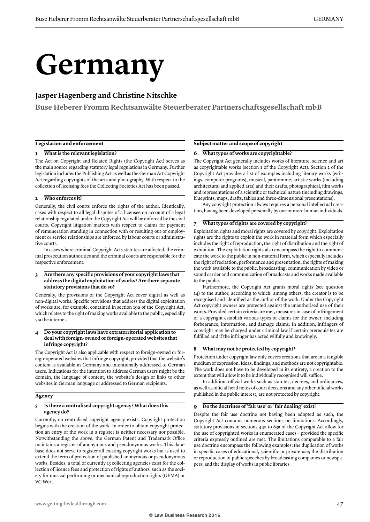# **Germany**

# **Jasper Hagenberg and Christine Nitschke**

**Buse Heberer Fromm Rechtsanwälte Steuerberater Partnerschaftsgesellschaft mbB**

### **Legislation and enforcement**

### **1 What is the relevant legislation?**

The Act on Copyright and Related Rights (the Copyright Act) serves as the main source regarding statutory legal regulations in Germany. Further legislation includes the Publishing Act as well as the German Art Copyright Act regarding copyrights of the arts and photography. With respect to the collection of licensing fees the Collecting Societies Act has been passed.

### **2 Who enforces it?**

Generally, the civil courts enforce the rights of the author. Identically, cases with respect to all legal disputes of a licensee on account of a legal relationship regulated under the Copyright Act will be enforced by the civil courts. Copyright litigation matters with respect to claims for payment of remuneration standing in connection with or resulting out of employment or service relationships are enforced by labour courts or administrative courts.

In cases where criminal Copyright Acts statutes are affected, the criminal prosecution authorities and the criminal courts are responsible for the respective enforcement.

### **3 Are there any specific provisions of your copyright laws that address the digital exploitation of works? Are there separate statutory provisions that do so?**

Generally, the provisions of the Copyright Act cover digital as well as non-digital works. Specific provisions that address the digital exploitation of works are, for example, contained in section 19a of the Copyright Act, which relates to the right of making works available to the public, especially via the internet.

### **4 Do your copyright laws have extraterritorial application to deal with foreign-owned or foreign-operated websites that infringe copyright?**

The Copyright Act is also applicable with respect to foreign-owned or foreign-operated websites that infringe copyright, provided that the website's content is available in Germany and intentionally addressed to German users. Indications for the intention to address German users might be the domain, the language of content, the website's design or links to other websites in German language or addressed to German recipients.

### **Agency**

### **5 Is there a centralised copyright agency? What does this agency do?**

Currently, no centralised copyright agency exists. Copyright protection begins with the creation of the work. In order to obtain copyright protection an entry of the work in a register is neither necessary nor possible. Notwithstanding the above, the German Patent and Trademark Office maintains a register of anonymous and pseudonymous works. This database does not serve to register all existing copyright works but is used to extend the term of protection of published anonymous or pseudonymous works. Besides, a total of currently 13 collecting agencies exist for the collection of licence fees and protection of rights of authors, such as the society for musical performing or mechanical reproduction rights (GEMA) or VG Wort.

### **Subject matter and scope of copyright**

### **6 What types of works are copyrightable?**

The Copyright Act generally includes works of literature, science and art as copyrightable works (section 1 of the Copyright Act). Section 2 of the Copyright Act provides a list of examples including literary works (writings, computer programs), musical, pantomime, artistic works (including architectural and applied arts) and their drafts, photographical, film works and representations of a scientific or technical nature (including drawings, blueprints, maps, drafts, tables and three-dimensional presentations).

Any copyright protection always requires a personal intellectual creation, having been developed personally by one or more human individuals.

### **7 What types of rights are covered by copyright?**

Exploitation rights and moral rights are covered by copyright. Exploitation rights are the rights to exploit the work in material form which especially includes the right of reproduction, the right of distribution and the right of exhibition. The exploitation rights also encompass the right to communicate the work to the public in non-material form, which especially includes the right of recitation, performance and presentation, the rights of making the work available to the public, broadcasting, communication by video or sound carrier and communication of broadcasts and works made available to the public.

Furthermore, the Copyright Act grants moral rights (see question 14) to the author, according to which, among others, the creator is to be recognised and identified as the author of the work. Under the Copyright Act copyright owners are protected against the unauthorised use of their works. Provided certain criteria are met, measures in case of infringement of a copyright establish various types of claims for the owner, including forbearance, information, and damage claims. In addition, infringers of copyright may be charged under criminal law if certain prerequisites are fulfilled and if the infringer has acted wilfully and knowingly.

### **8 What may not be protected by copyright?**

Protection under copyright law only covers creations that are in a tangible medium of expression. Ideas, findings, and methods are not copyrightable. The work does not have to be developed in its entirety, a creation to the extent that will allow it to be individually recognised will suffice.

In addition, official works such as statutes, decrees, and ordinances, as well as official head notes of court decisions and any other official works published in the public interest, are not protected by copyright.

### **9 Do the doctrines of 'fair use' or 'fair dealing' exist?**

Despite the fair use doctrine not having been adopted as such, the Copyright Act contains numerous sections on limitations. Accordingly, statutory provisions in sections 44a to 63a of the Copyright Act allow for the use of copyrighted works in enumerated cases – provided the specific criteria expressly outlined are met. The limitations comparable to a fair use doctrine encompass the following examples: the duplication of works in specific cases of educational, scientific or private use; the distribution or reproduction of public speeches by broadcasting companies or newspapers; and the display of works in public libraries.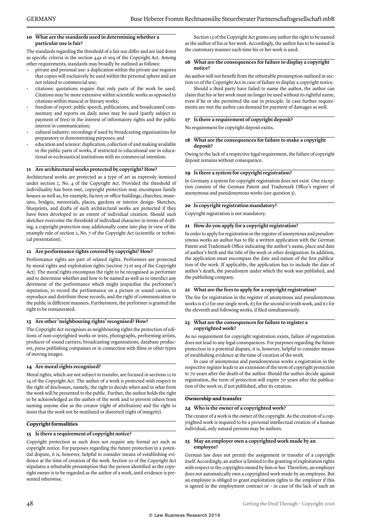### **10 What are the standards used in determining whether a particular use is fair?**

The standards regarding the threshold of a fair use differ and are laid down as specific criteria in the section 44a et seq of the Copyright Act. Among other requirements, standards may broadly be outlined as follows:

- private and personal use: a duplication within the private use requires that copies will exclusively be used within the personal sphere and are not related to commercial use;
- citations: quotations require that only parts of the work be used. Citations may be more extensive within scientific works as opposed to citations within musical or literary works;
- freedom of report: public speech, publications, and broadcasted commentary and reports on daily news may be used (partly subject to payment of fees) in the interest of informatory rights and the public interest in communication;
- cultural industry: recordings if used by broadcasting organisations for preparatory or demonstrating purposes; and
- education and science: duplication, collection of and making available to the public parts of works, if restricted to educational use in educational or ecclesiastical institutions with no commercial intention.

### **11 Are architectural works protected by copyright? How?**

Architectural works are protected as a type of art as expressly itemised under section 2, No. 4 of the Copyright Act. Provided the threshold of individuality has been met, copyright protection may encompass family houses as well as, for example, factory or office buildings, churches, museums, bridges, memorials, places, gardens or interior design. Sketches, blueprints, and drafts of such architectural works are protected if they have been developed to an extent of individual creation. Should such sketches overcome the threshold of individual character in terms of drafting, a copyright protection may additionally come into play in view of the example rule of section 2, No. 7 of the Copyright Act (scientific or technical presentation).

### **12 Are performance rights covered by copyright? How?**

Performance rights are part of related rights. Performers are protected by moral rights and exploitation rights (section 73 et seq of the Copyright Act). The moral rights encompass the right to be recognised as performer and to determine whether and how to be named as well as to interdict any detriment of the performance which might jeopardise the performer's reputation, to record the performance on a picture or sound carrier, to reproduce and distribute those records, and the right of communication to the public in different manners. Furthermore, the performer is granted the right to be remunerated.

### **13 Are other 'neighbouring rights' recognised? How?**

The Copyright Act recognises as neighbouring rights the protection of editions of non-copyrighted works or texts, photographs, performing artists, producer of sound carriers, broadcasting organisations, database producers, press publishing companies or in connection with films or other types of moving images.

### **14 Are moral rights recognised?**

Moral rights, which are not subject to transfer, are focused in sections 12 to 14 of the Copyright Act. The author of a work is protected with respect to the right of disclosure, namely, the right to decide when and in what form the work will be presented to the public. Further, the author holds the right to be acknowledged as the author of the work and to prevent others from naming anyone else as the creator (right of attribution) and the right to insist that the work not be mutilated or distorted (right of integrity).

### **Copyright formalities**

### **15 Is there a requirement of copyright notice?**

Copyright protection as such does not require any formal act such as copyright notice. For purposes regarding the future protection in a potential dispute, it is, however, helpful to consider means of establishing evidence at the time of creation of the work. Section 10 of the Copyright Act stipulates a rebuttable presumption that the person identified as the copyright owner is to be regarded as the author of a work, until evidence is presented otherwise.

Section 13 of the Copyright Act grants any author the right to be named as the author of his or her work. Accordingly, the author has to be named in the customary manner each time his or her work is used.

### **16 What are the consequences for failure to display a copyright notice?**

An author will not benefit from the rebuttable presumption outlined in section 10 of the Copyright Act in case of failure to display a copyright notice.

Should a third party have failed to name the author, the author can claim that his or her work must no longer be used without its rightful name, even if he or she permitted the use in principle. In case further requirements are met the author can demand for payment of damages as well.

### **17 Is there a requirement of copyright deposit?**

No requirement for copyright deposit exists.

### **18 What are the consequences for failure to make a copyright deposit?**

Owing to the lack of a respective legal requirement, the failure of copyright deposit remains without consequence.

### **19 Is there a system for copyright registration?**

In Germany a system for copyright registration does not exist. One exception consists of the German Patent and Trademark Office's register of anonymous and pseudonymous works (see question 5).

### **20 Is copyright registration mandatory?**

Copyright registration is not mandatory.

### **21 How do you apply for a copyright registration?**

In order to apply for registration in the register of anonymous and pseudonymous works an author has to file a written application with the German Patent and Trademark Office indicating the author's name, place and date of author's birth and the title of the work or other designation. In addition, the application must encompass the date and nature of the first publication of the work. If applicable, the application has to include the date of author's death, the pseudonym under which the work was published, and the publishing company.

### **22 What are the fees to apply for a copyright registration?**

The fee for registration in the register of anonymous and pseudonymous works is  $\epsilon$ 12 for one single work,  $\epsilon$ 5 for the second to tenth work, and  $\epsilon$ 2 for the eleventh and following works, if filed simultaneously.

### **23 What are the consequences for failure to register a copyrighted work?**

As no requirement for copyright registration exists, failure of registration does not lead to any legal consequences. For purposes regarding the future protection in a potential dispute, it is, however, helpful to consider means of establishing evidence at the time of creation of the work.

In case of anonymous and pseudonymous works a registration in the respective register leads to an extension of the term of copyright protection to 70 years after the death of the author. Should the author decide against registration, the term of protection will expire 70 years after the publication of the work or, if not published, after its creation.

### **Ownership and transfer**

### **24 Who is the owner of a copyrighted work?**

The creator of a work is the owner of the copyright. As the creation of a copyrighted work is required to be a personal intellectual creation of a human individual, only natural persons may be authors.

### **25 May an employer own a copyrighted work made by an employee?**

German law does not permit the assignment or transfer of a copyright itself. Accordingly, an author is limited to the granting of exploitation rights with respect to the copyrights owned by him or her. Therefore, an employer does not automatically own a copyrighted work made by an employee. But an employee is obliged to grant exploitation rights to the employer if this is agreed in the employment contract or – in case of the lack of such an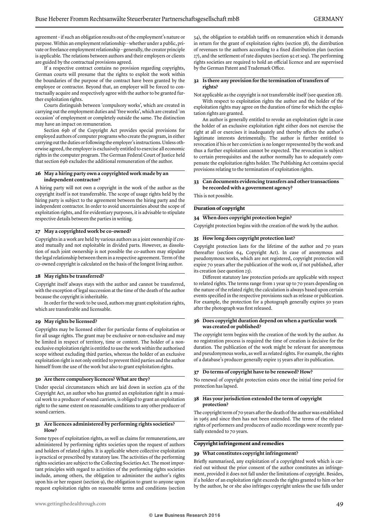agreement – if such an obligation results out of the employment's nature or purpose. Within an employment relationship – whether under a public, private or freelance employment relationship – generally, the creator principle is applicable. The relations between authors and their employers or clients are guided by the contractual provisions agreed.

If a respective contract contains no provision regarding copyrights, German courts will presume that the rights to exploit the work within the boundaries of the purpose of the contract have been granted by the employee or contractor. Beyond that, an employer will be forced to contractually acquire and respectively agree with the author to be granted further exploitation rights.

Courts distinguish between 'compulsory works', which are created in carrying out the employment duties and 'free works', which are created 'on occasion' of employment or completely outside the same. The distinction may have an impact on remuneration.

Section 69b of the Copyright Act provides special provisions for employed authors of computer programs who create the program, in either carrying out the duties or following the employer's instructions. Unless otherwise agreed, the employer is exclusively entitled to exercise all economic rights in the computer program. The German Federal Court of Justice held that section 69b excludes the additional remuneration of the author.

### **26 May a hiring party own a copyrighted work made by an independent contractor?**

A hiring party will not own a copyright in the work of the author as the copyright itself is not transferrable. The scope of usage rights held by the hiring party is subject to the agreement between the hiring party and the independent contractor. In order to avoid uncertainties about the scope of exploitation rights, and for evidentiary purposes, it is advisable to stipulate respective details between the parties in writing.

### **27 May a copyrighted work be co-owned?**

Copyrights in a work are held by various authors as a joint ownership if created mutually and not exploitable in divided parts. However, as dissolution of such joint ownership is not possible the co-authors may stipulate the legal relationship between them in a respective agreement. Term of the co-owned copyright is calculated on the basis of the longest living author.

### **28 May rights be transferred?**

Copyright itself always stays with the author and cannot be transferred, with the exception of legal succession at the time of the death of the author because the copyright is inheritable.

In order for the work to be used, authors may grant exploitation rights, which are transferable and licensable.

### **29 May rights be licensed?**

Copyrights may be licensed either for particular forms of exploitation or for all usage rights. The grant may be exclusive or non-exclusive and may be limited in respect of territory, time or content. The holder of a nonexclusive exploitation right is entitled to use the work within the authorised scope without excluding third parties, whereas the holder of an exclusive exploitation right is not only entitled to prevent third parties and the author himself from the use of the work but also to grant exploitation rights.

### **30 Are there compulsory licences? What are they?**

Under special circumstances which are laid down in section 42a of the Copyright Act, an author who has granted an exploitation right in a musical work to a producer of sound carriers, is obliged to grant an exploitation right to the same extent on reasonable conditions to any other producer of sound carriers.

### **31 Are licences administered by performing rights societies? How?**

Some types of exploitation rights, as well as claims for remunerations, are administered by performing rights societies upon the request of authors and holders of related rights. It is applicable where collective exploitation is practical or prescribed by statutory law. The activities of the performing rights societies are subject to the Collecting Societies Act. The most important principles with regard to activities of the performing rights societies include, among others, the obligation to administer the author's rights upon his or her request (section 9), the obligation to grant to anyone upon request exploitation rights on reasonable terms and conditions (section 34), the obligation to establish tariffs on remuneration which it demands in return for the grant of exploitation rights (section 38), the distribution of revenues to the authors according to a fixed distribution plan (section 27), and the settlement of rate disputes (section 92 et seq). The performing rights societies are required to hold an official licence and are supervised by the German Patent and Trademark Office.

### **32 Is there any provision for the termination of transfers of rights?**

Not applicable as the copyright is not transferrable itself (see question 28).

With respect to exploitation rights the author and the holder of the exploitation rights may agree on the duration of time for which the exploitation rights are granted.

An author is generally entitled to revoke an exploitation right in case the holder of an exclusive exploitation right either does not exercise the right at all or exercises it inadequately and thereby affects the author's legitimate interests detrimentally. The author is further entitled to revocation if his or her conviction is no longer represented by the work and thus a further exploitation cannot be expected. The revocation is subject to certain prerequisites and the author normally has to adequately compensate the exploitation rights holder. The Publishing Act contains special provisions relating to the termination of exploitation rights.

### **33 Can documents evidencing transfers and other transactions be recorded with a government agency?**

This is not possible.

### **Duration of copyright**

### **34 When does copyright protection begin?**

Copyright protection begins with the creation of the work by the author.

### **35 How long does copyright protection last?**

Copyright protection lasts for the lifetime of the author and 70 years thereafter (section 64, Copyright Act). In case of anonymous and pseudonymous works, which are not registered, copyright protection will expire 70 years after the publication of the work or, if not published, after its creation (see question 23).

Different statutory law protection periods are applicable with respect to related rights. The terms range from 1 year up to 70 years depending on the nature of the related right; the calculation is always based upon certain events specified in the respective provisions such as release or publication. For example, the protection for a photograph generally expires 50 years after the photograph was first released.

### **36 Does copyright duration depend on when a particular work was created or published?**

The copyright term begins with the creation of the work by the author. As no registration process is required the time of creation is decisive for the duration. The publication of the work might be relevant for anonymous and pseudonymous works, as well as related rights. For example, the rights of a database's producer generally expire 15 years after its publication.

### **37 Do terms of copyright have to be renewed? How?**

No renewal of copyright protection exists once the initial time period for protection has lapsed.

### **38 Has your jurisdiction extended the term of copyright protection?**

The copyright term of 70 years after the death of the author was established in 1965 and since then has not been extended. The terms of the related rights of performers and producers of audio recordings were recently partially extended to 70 years.

### **Copyright infringement and remedies**

### **39 What constitutes copyright infringement?**

Briefly summarised, any exploitation of a copyrighted work which is carried out without the prior consent of the author constitutes an infringement, provided it does not fall under the limitations of copyright. Besides, if a holder of an exploitation right exceeds the rights granted to him or her by the author, he or she also infringes copyright unless the use falls under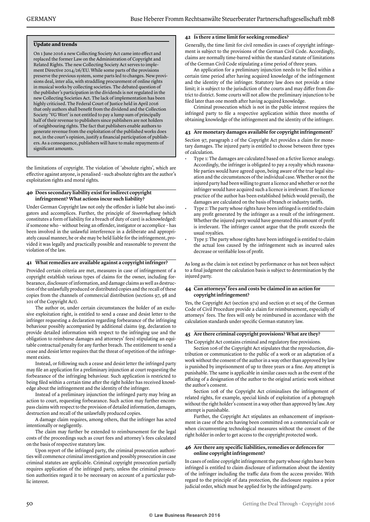### **Update and trends**

On 1 June 2016 a new Collecting Society Act came into effect and replaced the former Law on the Administration of Copyright and Related Rights. The new Collecting Society Act serves to implement Directive 2014/26/EU. While some parts of the provisions preserve the previous system, some parts led to changes. New provisions deal, inter alia, with straddling procurement of online rights in musical works by collecting societies. The debated question of the publisher's participation in the dividends is not regulated in the new Collecting Societies Act. The lack of implementation has been highly criticised. The Federal Court of Justice held in April 2016 that only authors shall benefit from the dividend and the Collection Society 'VG Wort' is not entitled to pay a lump sum of principally half of their revenue to publishers since publishers are not holders of neighbouring rights. The fact that publishers enable authors to generate revenue from the exploitation of the published works does not, in the court's opinion, justify a financial participation of publishers. As a consequence, publishers will have to make repayments of significant amounts.

the limitations of copyright. The violation of 'absolute rights', which are effective against anyone, is penalised – such absolute rights are the author's exploitation rights and moral rights.

### **40 Does secondary liability exist for indirect copyright infringement? What actions incur such liability?**

Under German Copyright law not only the offender is liable but also instigators and accomplices. Further, the principle of *Stoererhaftung* (which constitutes a form of liability for a breach of duty of care) is acknowledged: if someone who – without being an offender, instigator or accomplice – has been involved in the unlawful interference in a deliberate and appropriately causal manner, he or she may be held liable for the infringement, provided it was legally and practically possible and reasonable to prevent the violation of the law.

### **41 What remedies are available against a copyright infringer?**

Provided certain criteria are met, measures in case of infringement of a copyright establish various types of claims for the owner, including forbearance, disclosure of information, and damage claims as well as destruction of the unlawfully produced or distributed copies and the recall of these copies from the channels of commercial distribution (sections 97, 98 and 101 of the Copyright Act).

The author or, under certain circumstances the holder of an exclusive exploitation right, is entitled to send a cease and desist letter to the infringer requesting a declaration regarding forbearance of the infringing behaviour possibly accompanied by additional claims (eg, declaration to provide detailed information with respect to the infringing use and the obligation to reimburse damages and attorneys' fees) stipulating an equitable contractual penalty for any further breach. The entitlement to send a cease and desist letter requires that the threat of repetition of the infringement exists.

Instead, or following such a cease and desist letter the infringed party may file an application for a preliminary injunction at court requesting the forbearance of the infringing behaviour. Such application is restricted to being filed within a certain time after the right holder has received knowledge about the infringement and the identity of the infringer.

Instead of a preliminary injunction the infringed party may bring an action to court, requesting forbearance. Such action may further encompass claims with respect to the provision of detailed information, damages, destruction and recall of the unlawfully produced copies.

A damage claim requires, among others, that the infringer has acted intentionally or negligently.

The claim may further be extended to reimbursement for the legal costs of the proceedings such as court fees and attorney's fees calculated on the basis of respective statutory law.

Upon report of the infringed party, the criminal prosecution authorities will commence criminal investigation and possibly prosecution in case criminal statutes are applicable. Criminal copyright prosecution partially requires application of the infringed party, unless the criminal prosecution authorities regard it to be necessary on account of a particular public interest.

### **42 Is there a time limit for seeking remedies?**

Generally, the time limit for civil remedies in cases of copyright infringement is subject to the provisions of the German Civil Code. Accordingly, claims are normally time-barred within the standard statute of limitations of the German Civil Code stipulating a time period of three years.

An application for a preliminary injunction needs to be filed within a certain time period after having acquired knowledge of the infringement and the identity of the infringer. Statutory law does not provide a time limit; it is subject to the jurisdiction of the courts and may differ from district to district. Some courts will not allow the preliminary injunction to be filed later than one month after having acquired knowledge.

Criminal prosecution which is not in the public interest requires the infringed party to file a respective application within three months of obtaining knowledge of the infringement and the identity of the infringer.

### **43 Are monetary damages available for copyright infringement?**

Section 97, paragraph 2 of the Copyright Act provides a claim for monetary damages. The injured party is entitled to choose between three types of calculation.

- Type 1: The damages are calculated based on a fictive licence analogy. Accordingly, the infringer is obligated to pay a royalty which reasonable parties would have agreed upon, being aware of the true legal situation and the circumstances of the individual case. Whether or not the injured party had been willing to grant a licence and whether or not the infringer would have acquired such a licence is irrelevant. If no licence practice of the author has been established (which would prevail), the damages are calculated on the basis of branch or industry tariffs.
- Type 2: The party whose rights have been infringed is entitled to claim any profit generated by the infringer as a result of the infringement. Whether the injured party would have generated this amount of profit is irrelevant. The infringer cannot argue that the profit exceeds the usual royalties.
- Type 3: The party whose rights have been infringed is entitled to claim the actual loss caused by the infringement such as incurred sales decrease or verifiable loss of profit.

As long as the claim is not extinct by performance or has not been subject to a final judgment the calculation basis is subject to determination by the injured party.

### **44 Can attorneys' fees and costs be claimed in an action for copyright infringement?**

Yes, the Copyright Act (section 97a) and section 91 et seq of the German Code of Civil Procedure provide a claim for reimbursement, especially of attorneys' fees. The fees will only be reimbursed in accordance with the calculation standards under specific German statutory law.

### **45 Are there criminal copyright provisions? What are they?**

The Copyright Act contains criminal and regulatory fine provisions.

Section 106 of the Copyright Act stipulates that the reproduction, distribution or communication to the public of a work or an adaptation of a work without the consent of the author in a way other than approved by law is punished by imprisonment of up to three years or a fine. Any attempt is punishable. The same is applicable in similar cases such as the event of the affixing of a designation of the author to the original artistic work without the author's consent.

Section 108 of the Copyright Act criminalises the infringement of related rights, for example, special kinds of exploitation of a photograph without the right holder's consent in a way other than approved by law. Any attempt is punishable.

Further, the Copyright Act stipulates an enhancement of imprisonment in case of the acts having been committed on a commercial scale or when circumventing technological measures without the consent of the right holder in order to get access to the copyright protected work.

### **46 Are there any specific liabilities, remedies or defences for online copyright infringement?**

In cases of online copyright infringement the party whose rights have been infringed is entitled to claim disclosure of information about the identity of the infringer including the traffic data from the access provider. With regard to the principle of data protection, the disclosure requires a prior judicial order, which must be applied for by the infringed party.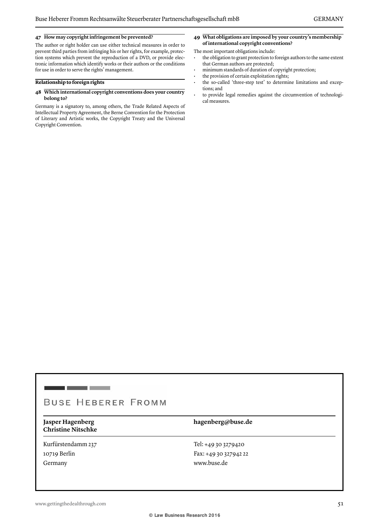### **47 How may copyright infringement be prevented?**

The author or right holder can use either technical measures in order to prevent third parties from infringing his or her rights, for example, protection systems which prevent the reproduction of a DVD, or provide electronic information which identify works or their authors or the conditions for use in order to serve the rights' management.

### **Relationship to foreign rights**

### **48 Which international copyright conventions does your country belong to?**

Germany is a signatory to, among others, the Trade Related Aspects of Intellectual Property Agreement, the Berne Convention for the Protection of Literary and Artistic works, the Copyright Treaty and the Universal Copyright Convention.

**49 What obligations are imposed by your country's membership of international copyright conventions?**

### The most important obligations include:

- the obligation to grant protection to foreign authors to the same extent that German authors are protected;
- minimum standards of duration of copyright protection;
- the provision of certain exploitation rights;
- the so-called 'three-step test' to determine limitations and exceptions; and
- to provide legal remedies against the circumvention of technological measures.

# **BUSE HEBERER FROMM**

**Christine Nitschke**

Kurfürstendamm 237 10719 Berlin Germany

### **Jasper Hagenberg hagenberg@buse.de**

Tel: +49 30 3279420 Fax: +49 30 327942 22 www.buse.de